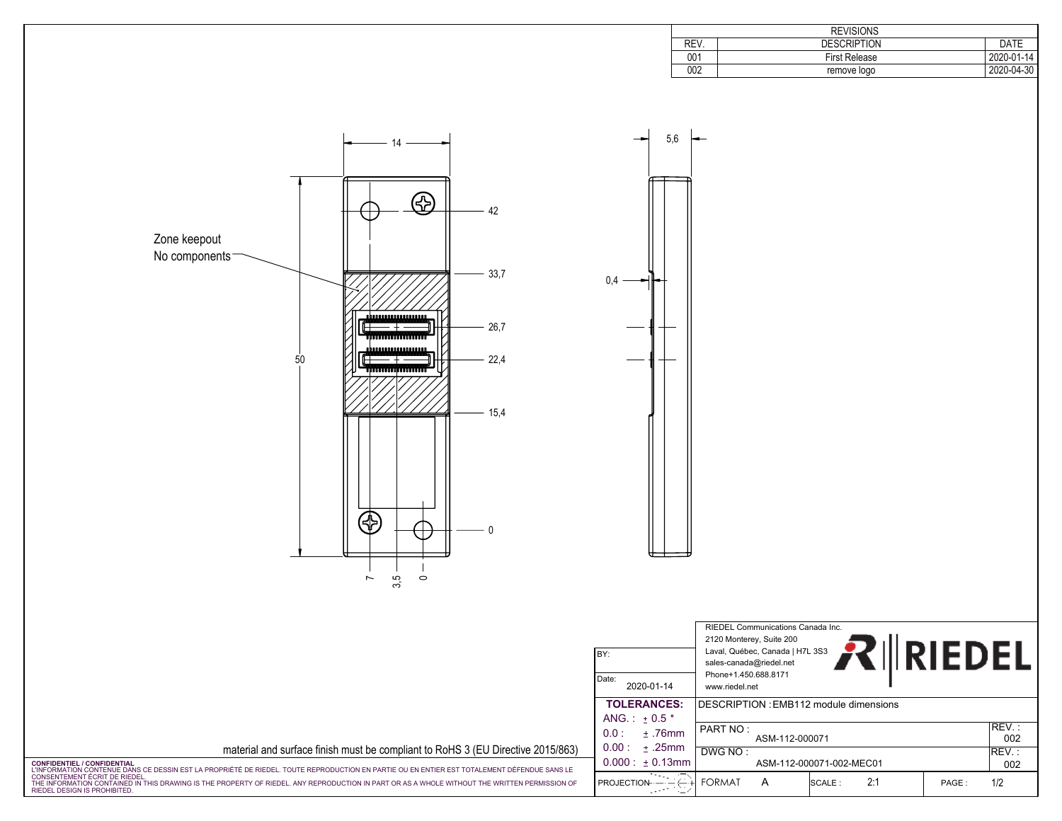| <b>REVISIONS</b> |                      |            |  |  |
|------------------|----------------------|------------|--|--|
| REV.             | <b>DESCRIPTION</b>   | DATE       |  |  |
| 001              | <b>First Release</b> | 2020-01-14 |  |  |
| 002              | remove logo          | 2020-04-30 |  |  |